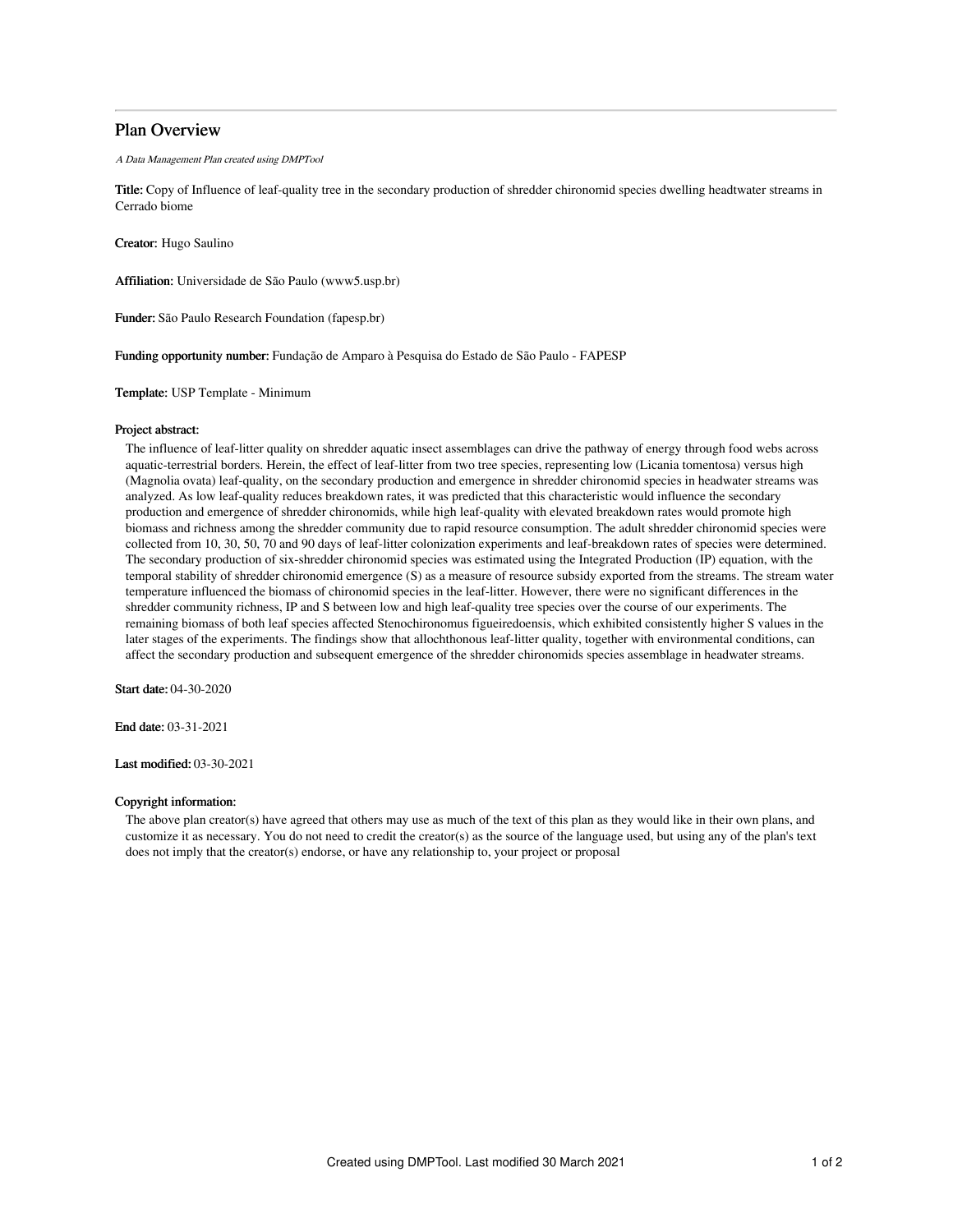# Plan Overview

A Data Management Plan created using DMPTool

Title: Copy of Influence of leaf-quality tree in the secondary production of shredder chironomid species dwelling headtwater streams in Cerrado biome

Creator: Hugo Saulino

Affiliation: Universidade de São Paulo (www5.usp.br)

Funder: São Paulo Research Foundation (fapesp.br)

Funding opportunity number: Fundação de Amparo à Pesquisa do Estado de São Paulo - FAPESP

Template: USP Template - Minimum

### Project abstract:

The influence of leaf-litter quality on shredder aquatic insect assemblages can drive the pathway of energy through food webs across aquatic-terrestrial borders. Herein, the effect of leaf-litter from two tree species, representing low (Licania tomentosa) versus high (Magnolia ovata) leaf-quality, on the secondary production and emergence in shredder chironomid species in headwater streams was analyzed. As low leaf-quality reduces breakdown rates, it was predicted that this characteristic would influence the secondary production and emergence of shredder chironomids, while high leaf-quality with elevated breakdown rates would promote high biomass and richness among the shredder community due to rapid resource consumption. The adult shredder chironomid species were collected from 10, 30, 50, 70 and 90 days of leaf-litter colonization experiments and leaf-breakdown rates of species were determined. The secondary production of six-shredder chironomid species was estimated using the Integrated Production (IP) equation, with the temporal stability of shredder chironomid emergence (S) as a measure of resource subsidy exported from the streams. The stream water temperature influenced the biomass of chironomid species in the leaf-litter. However, there were no significant differences in the shredder community richness, IP and S between low and high leaf-quality tree species over the course of our experiments. The remaining biomass of both leaf species affected Stenochironomus figueiredoensis, which exhibited consistently higher S values in the later stages of the experiments. The findings show that allochthonous leaf-litter quality, together with environmental conditions, can affect the secondary production and subsequent emergence of the shredder chironomids species assemblage in headwater streams.

Start date: 04-30-2020

End date: 03-31-2021

Last modified: 03-30-2021

## Copyright information:

The above plan creator(s) have agreed that others may use as much of the text of this plan as they would like in their own plans, and customize it as necessary. You do not need to credit the creator(s) as the source of the language used, but using any of the plan's text does not imply that the creator(s) endorse, or have any relationship to, your project or proposal